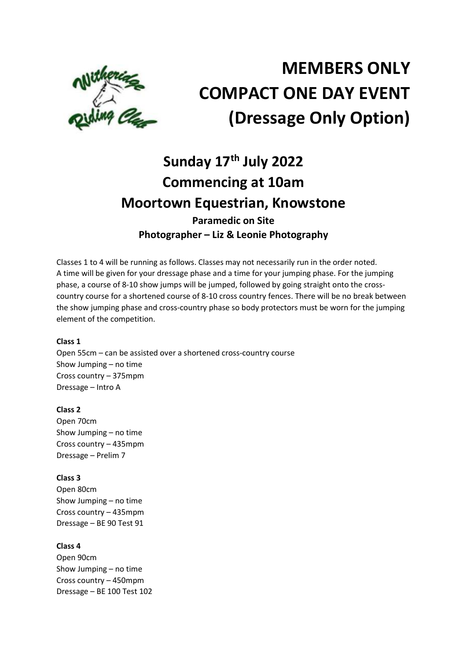

# MEMBERS ONLY COMPACT ONE DAY EVENT (Dressage Only Option)

# Sunday 17<sup>th</sup> July 2022 Commencing at 10am Moortown Equestrian, Knowstone Paramedic on Site Photographer – Liz & Leonie Photography

Classes 1 to 4 will be running as follows. Classes may not necessarily run in the order noted. A time will be given for your dressage phase and a time for your jumping phase. For the jumping phase, a course of 8-10 show jumps will be jumped, followed by going straight onto the crosscountry course for a shortened course of 8-10 cross country fences. There will be no break between the show jumping phase and cross-country phase so body protectors must be worn for the jumping element of the competition.

# Class 1

Open 55cm – can be assisted over a shortened cross-country course Show Jumping – no time Cross country – 375mpm Dressage – Intro A

# Class 2

Open 70cm Show Jumping – no time Cross country – 435mpm Dressage – Prelim 7

# Class 3

Open 80cm Show Jumping – no time Cross country – 435mpm Dressage – BE 90 Test 91

# Class 4

Open 90cm Show Jumping – no time Cross country – 450mpm Dressage – BE 100 Test 102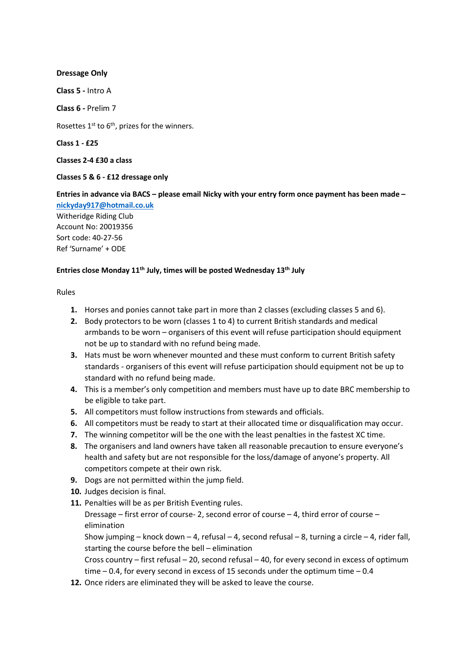# Dressage Only

Class 5 - Intro A

Class 6 - Prelim 7

Rosettes  $1^{st}$  to  $6^{th}$ , prizes for the winners.

Class 1 - £25

Classes 2-4 £30 a class

#### Classes 5 & 6 - £12 dressage only

Entries in advance via BACS – please email Nicky with your entry form once payment has been made –

nickyday917@hotmail.co.uk Witheridge Riding Club Account No: 20019356 Sort code: 40-27-56 Ref 'Surname' + ODE

# Entries close Monday 11<sup>th</sup> July, times will be posted Wednesday 13<sup>th</sup> July

Rules

- 1. Horses and ponies cannot take part in more than 2 classes (excluding classes 5 and 6).
- 2. Body protectors to be worn (classes 1 to 4) to current British standards and medical armbands to be worn – organisers of this event will refuse participation should equipment not be up to standard with no refund being made.
- 3. Hats must be worn whenever mounted and these must conform to current British safety standards - organisers of this event will refuse participation should equipment not be up to standard with no refund being made.
- 4. This is a member's only competition and members must have up to date BRC membership to be eligible to take part.
- 5. All competitors must follow instructions from stewards and officials.
- 6. All competitors must be ready to start at their allocated time or disqualification may occur.
- 7. The winning competitor will be the one with the least penalties in the fastest XC time.
- 8. The organisers and land owners have taken all reasonable precaution to ensure everyone's health and safety but are not responsible for the loss/damage of anyone's property. All competitors compete at their own risk.
- 9. Dogs are not permitted within the jump field.
- 10. Judges decision is final.
- 11. Penalties will be as per British Eventing rules.

Dressage – first error of course- 2, second error of course – 4, third error of course – elimination

Show jumping – knock down – 4, refusal – 4, second refusal – 8, turning a circle – 4, rider fall, starting the course before the bell – elimination

Cross country – first refusal – 20, second refusal – 40, for every second in excess of optimum time – 0.4, for every second in excess of 15 seconds under the optimum time – 0.4

12. Once riders are eliminated they will be asked to leave the course.